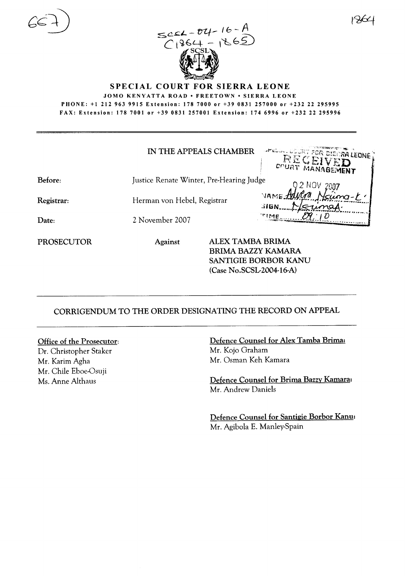



SPECIAL COURT FOR SIERRA LEONE

JOMO KENYATTA ROAD • FREETOWN • SIERRA LEONE PHONE: +1 212 963 9915 Extension: 178 7000 or +39 0831 257000 or +232 22 295995 FAX: Extension: 178 7001 or +39 0831257001 Extension: 1746996 or +232 22 295996

|                   |                                          | IN THE APPEALS CHAMBER                                                    | AFELD  COURT FOR SIERRA LEONE ?<br><b>RECEIVED</b> |
|-------------------|------------------------------------------|---------------------------------------------------------------------------|----------------------------------------------------|
| Before:           | Justice Renate Winter, Pre-Hearing Judge |                                                                           |                                                    |
| Registrar:        | Herman von Hebel, Registrar              |                                                                           | <b>VAME:</b><br><b>SIGN.</b>                       |
| Date:             | 2 November 2007                          |                                                                           | <b>TIME</b>                                        |
| <b>PROSECUTOR</b> | Against                                  | ALEX TAMBA BRIMA<br><b>BRIMA BAZZY KAMARA</b><br>(Case No.SCSL-2004-16-A) | SANTIGIE BORBOR KANU                               |

CORRIGENDUM TO THE ORDER DESIGNATING THE RECORD ON APPEAL

## Office of the Prosecutor:

Dr. Christopher Staker Mr. Karim Agha Mr. Chile Eboe-Osuji Ms. Anne Althaus

Defence Counsel for Alex Tamba Brima: Mr. Kojo Graham Mr. Osman Keh Kamara

Defence Counsel for Brima Bazzy Kamara: Mr. Andrew Daniels

Defence Counsel for Santigie Borbor Kanu: Mr. Agibola E. Manley-Spain

 $1$ x